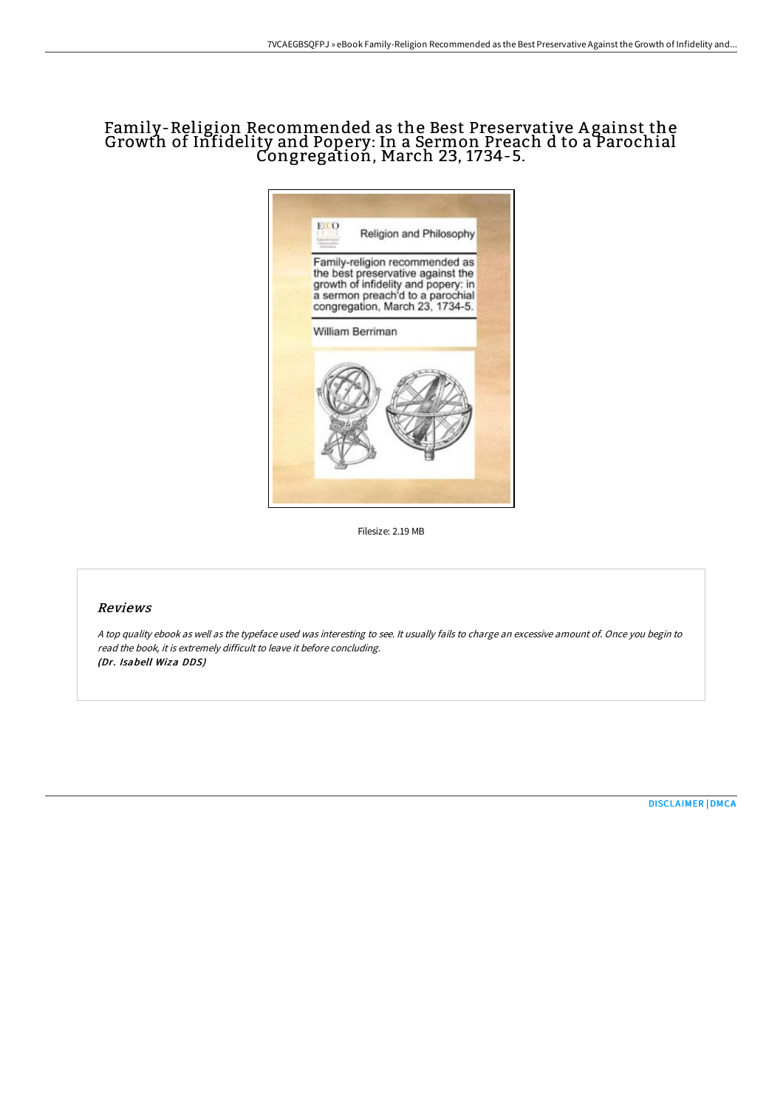## Family-Religion Recommended as the Best Preservative A gainst the Growth of Infidelity and Popery: In a Sermon Preach d to a Parochial Congregation, March 23, 1734-5.



Filesize: 2.19 MB

## Reviews

<sup>A</sup> top quality ebook as well as the typeface used was interesting to see. It usually fails to charge an excessive amount of. Once you begin to read the book, it is extremely difficult to leave it before concluding. (Dr. Isabell Wiza DDS)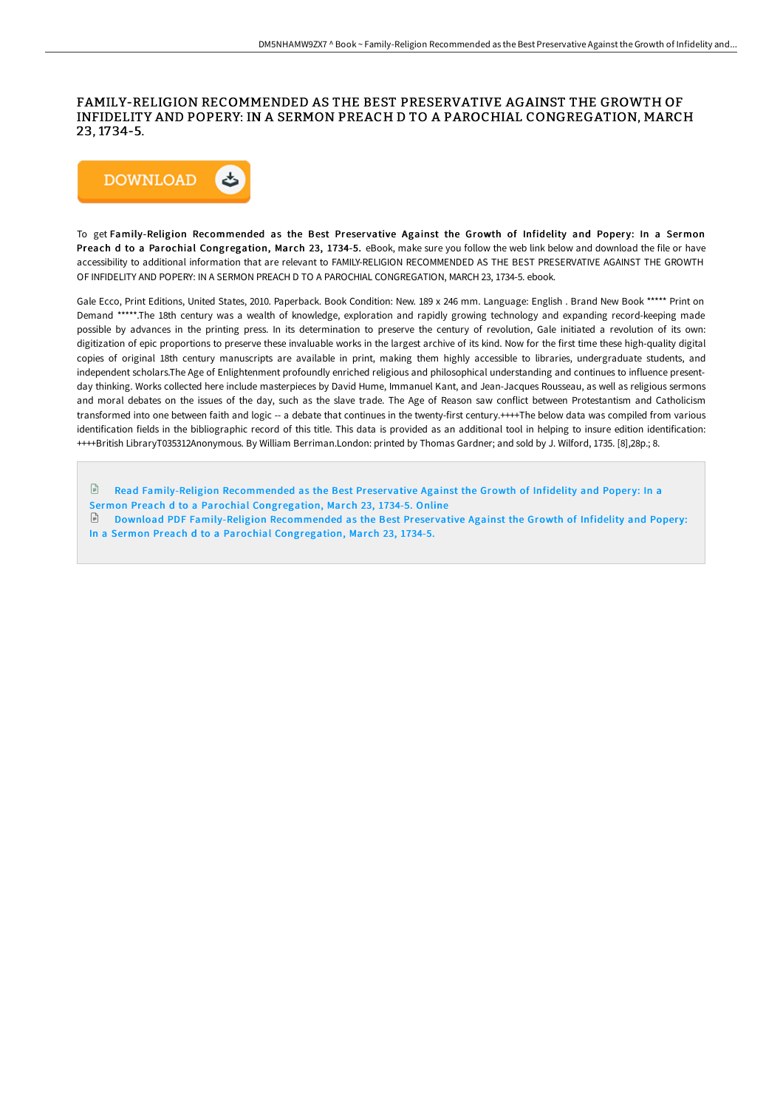## FAMILY-RELIGION RECOMMENDED AS THE BEST PRESERVATIVE AGAINST THE GROWTH OF INFIDELITY AND POPERY: IN A SERMON PREACH D TO A PAROCHIAL CONGREGATION, MARCH 23, 1734-5.



To get Family-Religion Recommended as the Best Preservative Against the Growth of Infidelity and Popery: In a Sermon Preach d to a Parochial Congregation, March 23, 1734-5. eBook, make sure you follow the web link below and download the file or have accessibility to additional information that are relevant to FAMILY-RELIGION RECOMMENDED AS THE BEST PRESERVATIVE AGAINST THE GROWTH OF INFIDELITY AND POPERY: IN A SERMON PREACH D TO A PAROCHIAL CONGREGATION, MARCH 23, 1734-5. ebook.

Gale Ecco, Print Editions, United States, 2010. Paperback. Book Condition: New. 189 x 246 mm. Language: English . Brand New Book \*\*\*\*\* Print on Demand \*\*\*\*\*.The 18th century was a wealth of knowledge, exploration and rapidly growing technology and expanding record-keeping made possible by advances in the printing press. In its determination to preserve the century of revolution, Gale initiated a revolution of its own: digitization of epic proportions to preserve these invaluable works in the largest archive of its kind. Now for the first time these high-quality digital copies of original 18th century manuscripts are available in print, making them highly accessible to libraries, undergraduate students, and independent scholars.The Age of Enlightenment profoundly enriched religious and philosophical understanding and continues to influence presentday thinking. Works collected here include masterpieces by David Hume, Immanuel Kant, and Jean-Jacques Rousseau, as well as religious sermons and moral debates on the issues of the day, such as the slave trade. The Age of Reason saw conflict between Protestantism and Catholicism transformed into one between faith and logic -- a debate that continues in the twenty-first century.++++The below data was compiled from various identification fields in the bibliographic record of this title. This data is provided as an additional tool in helping to insure edition identification: ++++British LibraryT035312Anonymous. By William Berriman.London: printed by Thomas Gardner; and sold by J. Wilford, 1735. [8],28p.; 8.

- $\Box$  Read [Family-Religion](http://www.bookdirs.com/family-religion-recommended-as-the-best-preserva.html) Recommended as the Best Preservative Against the Growth of Infidelity and Popery: In a
- Sermon Preach d to a Parochial Congregation, March 23, 1734-5. Online

Download PDF [Family-Religion](http://www.bookdirs.com/family-religion-recommended-as-the-best-preserva.html) Recommended as the Best Preservative Against the Growth of Infidelity and Popery: In a Sermon Preach d to a Parochial Congregation, March 23, 1734-5.